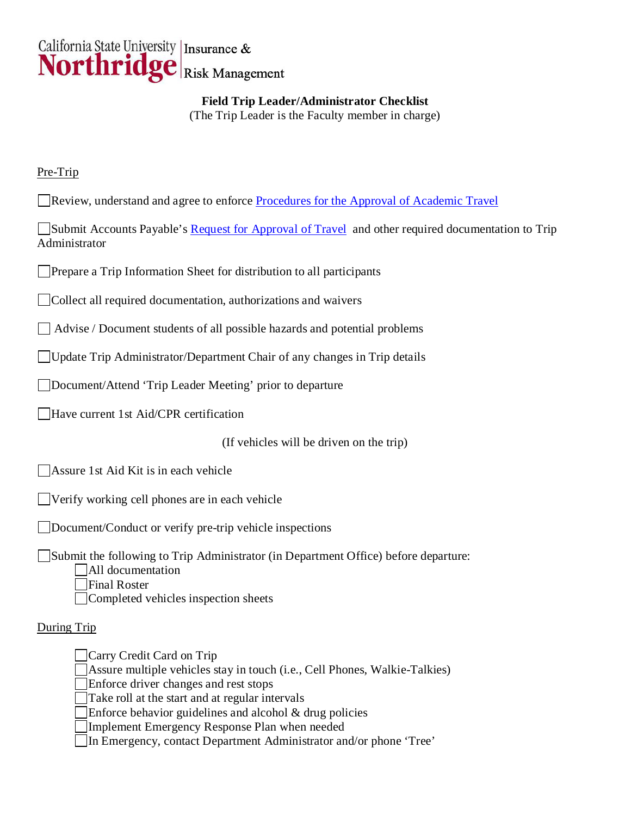

**Field Trip Leader/Administrator Checklist** (The Trip Leader is the Faculty member in charge)

## Pre-Trip

Review, understand and agree to enforce [Procedures for the Approval of Academic Travel](http://www-admn.csun.edu/travel/travel_procedures.htm) 

Submit Accounts Payable's [Request for Approval of Travel](http://www-admn.csun.edu/travel/forms/travel_request.htm) and other required documentation to Trip Administrator

**Prepare a Trip Information Sheet for distribution to all participants** 

Collect all required documentation, authorizations and waivers

Advise / Document students of all possible hazards and potential problems

□ Update Trip Administrator/Department Chair of any changes in Trip details

Document/Attend 'Trip Leader Meeting' prior to departure

Have current 1st Aid/CPR certification

(If vehicles will be driven on the trip)

Assure 1st Aid Kit is in each vehicle

Verify working cell phones are in each vehicle

Document/Conduct or verify pre-trip vehicle inspections

Submit the following to Trip Administrator (in Department Office) before departure: All documentation Final Roster

Completed vehicles inspection sheets

## During Trip

Carry Credit Card on Trip Assure multiple vehicles stay in touch (i.e., Cell Phones, Walkie-Talkies)

Enforce driver changes and rest stops

Take roll at the start and at regular intervals

Enforce behavior guidelines and alcohol & drug policies

Implement Emergency Response Plan when needed

In Emergency, contact Department Administrator and/or phone 'Tree'